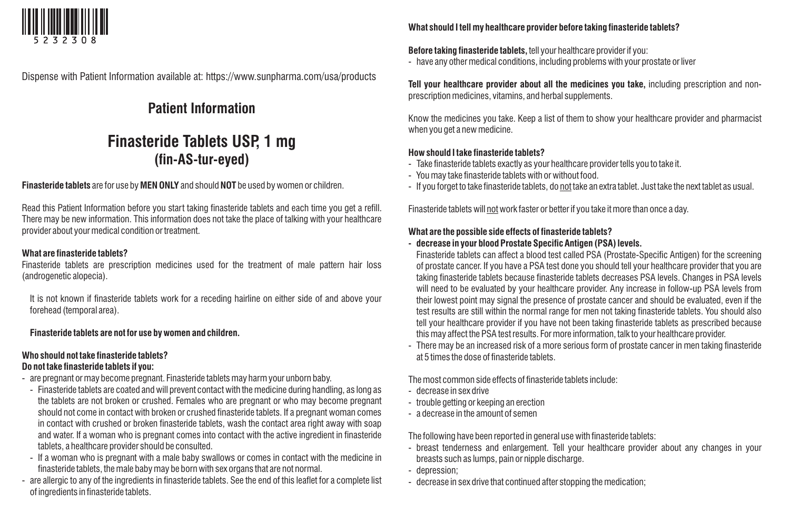

Dispense with Patient Information available at: https://www.sunpharma.com/usa/products

# **Patient Information**

# **Finasteride Tablets USP, 1 mg (fin-AS-tur-eyed)**

## **Finasteride tablets** are for use by **MEN ONLY** and should **NOT** be used by women or children.

Read this Patient Information before you start taking finasteride tablets and each time you get a refill. There may be new information. This information does not take the place of talking with your healthcare provider about your medical condition or treatment.

#### **What are finasteride tablets?**

Finasteride tablets are prescription medicines used for the treatment of male pattern hair loss (androgenetic alopecia).

It is not known if finasteride tablets work for a receding hairline on either side of and above your forehead (temporal area).

#### **Finasteride tablets are not for use by women and children.**

# **Who should not take finasteride tablets?**

# **Do not take finasteride tablets if you:**

- are pregnant or may become pregnant. Finasteride tablets may harm your unborn baby.
- Finasteride tablets are coated and will prevent contact with the medicine during handling, as long as the tablets are not broken or crushed. Females who are pregnant or who may become pregnant should not come in contact with broken or crushed finasteride tablets. If a pregnant woman comes in contact with crushed or broken finasteride tablets, wash the contact area right away with soap and water. If a woman who is pregnant comes into contact with the active ingredient in finasteride tablets, a healthcare provider should be consulted.
- If a woman who is pregnant with a male baby swallows or comes in contact with the medicine in finasteride tablets, the male baby may be born with sex organs that are not normal.
- are allergic to any of the ingredients in finasteride tablets. See the end of this leaflet for a complete list of ingredients in finasteride tablets.

#### **What should I tell my healthcare provider before taking finasteride tablets?**

#### **Before taking finasteride tablets,** tell your healthcare provider if you:

- have any other medical conditions, including problems with your prostate or liver

**Tell your healthcare provider about all the medicines you take,** including prescription and nonprescription medicines, vitamins, and herbal supplements.

Know the medicines you take. Keep a list of them to show your healthcare provider and pharmacist when you get a new medicine.

#### **How should I take finasteride tablets?**

- Take finasteride tablets exactly as your healthcare provider tells you to take it.
- You may take finasteride tablets with or without food.
- If you forget to take finasteride tablets, do not take an extra tablet. Just take the next tablet as usual.

Finasteride tablets will not work faster or better if you take it more than once a day.

## **What are the possible side effects of finasteride tablets?**

## **- decrease in your blood Prostate Specific Antigen (PSA) levels.**

Finasteride tablets can affect a blood test called PSA (Prostate-Specific Antigen) for the screening of prostate cancer. If you have a PSA test done you should tell your healthcare provider that you are taking finasteride tablets because finasteride tablets decreases PSA levels. Changes in PSA levels will need to be evaluated by your healthcare provider. Any increase in follow-up PSA levels from their lowest point may signal the presence of prostate cancer and should be evaluated, even if the test results are still within the normal range for men not taking finasteride tablets. You should also tell your healthcare provider if you have not been taking finasteride tablets as prescribed because this may affect the PSA test results. For more information, talk to your healthcare provider.

- There may be an increased risk of a more serious form of prostate cancer in men taking finasteride at 5 times the dose of finasteride tablets.

The most common side effects of finasteride tablets include:

- decrease in sex drive
- trouble getting or keeping an erection
- a decrease in the amount of semen

The following have been reported in general use with finasteride tablets:

- breast tenderness and enlargement. Tell your healthcare provider about any changes in your breasts such as lumps, pain or nipple discharge.
- depression;
- decrease in sex drive that continued after stopping the medication;